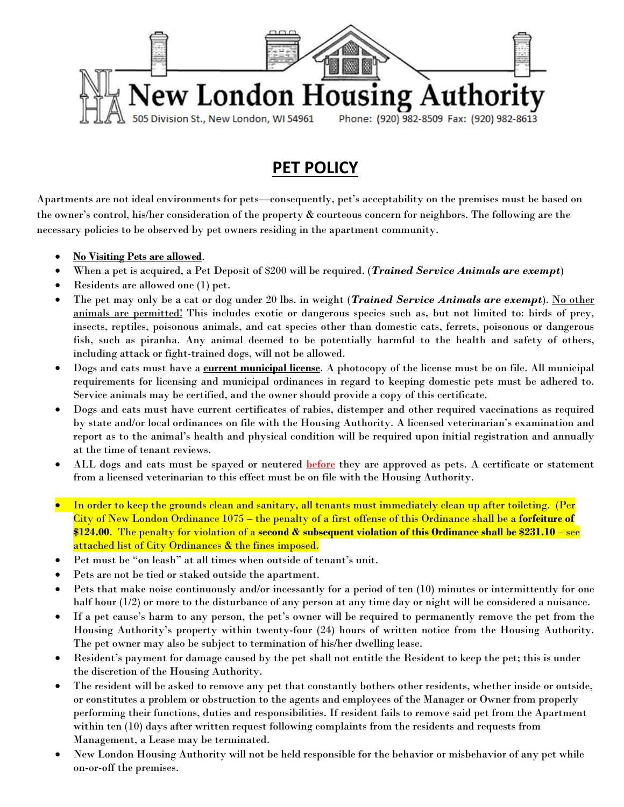

## **PET POLICY**

Apartments are not ideal environments for pets—consequently, pet's acceptability on the premises must be based on the owner's control, his/her consideration of the property & courteous concern for neighbors. The following are the necessary policies to be observed by pet owners residing in the apartment community.

- **No Visiting Pets are allowed**.
- When a pet is acquired, a Pet Deposit of \$200 will be required. (*Trained Service Animals are exempt*)
- Residents are allowed one (1) pet.
- The pet may only be a cat or dog under 20 lbs. in weight (*Trained Service Animals are exempt*). No other animals are permitted! This includes exotic or dangerous species such as, but not limited to: birds of prey, insects, reptiles, poisonous animals, and cat species other than domestic cats, ferrets, poisonous or dangerous fish, such as piranha. Any animal deemed to be potentially harmful to the health and safety of others, including attack or fight-trained dogs, will not be allowed.
- Dogs and cats must have a **current municipal license**. A photocopy of the license must be on file. All municipal requirements for licensing and municipal ordinances in regard to keeping domestic pets must be adhered to. Service animals may be certified, and the owner should provide a copy of this certificate.
- Dogs and cats must have current certificates of rabies, distemper and other required vaccinations as required by state and/or local ordinances on file with the Housing Authority. A licensed veterinarian's examination and report as to the animal's health and physical condition will be required upon initial registration and annually at the time of tenant reviews.
- ALL dogs and cats must be spayed or neutered **before** they are approved as pets. A certificate or statement from a licensed veterinarian to this effect must be on file with the Housing Authority.
- In order to keep the grounds clean and sanitary, all tenants must immediately clean up after toileting. (Per City of New London Ordinance 1075 – the penalty of a first offense of this Ordinance shall be a **forfeiture of \$124.00**. The penalty for violation of a **second & subsequent violation of this Ordinance shall be \$231.10** – see attached list of City Ordinances & the fines imposed.
- Pet must be "on leash" at all times when outside of tenant's unit.
- Pets are not be tied or staked outside the apartment.
- Pets that make noise continuously and/or incessantly for a period of ten (10) minutes or intermittently for one half hour (1/2) or more to the disturbance of any person at any time day or night will be considered a nuisance.
- If a pet cause's harm to any person, the pet's owner will be required to permanently remove the pet from the Housing Authority's property within twenty-four (24) hours of written notice from the Housing Authority. The pet owner may also be subject to termination of his/her dwelling lease.
- Resident's payment for damage caused by the pet shall not entitle the Resident to keep the pet; this is under the discretion of the Housing Authority.
- The resident will be asked to remove any pet that constantly bothers other residents, whether inside or outside, or constitutes a problem or obstruction to the agents and employees of the Manager or Owner from properly performing their functions, duties and responsibilities. If resident fails to remove said pet from the Apartment within ten (10) days after written request following complaints from the residents and requests from Management, a Lease may be terminated.
- New London Housing Authority will not be held responsible for the behavior or misbehavior of any pet while on-or-off the premises.